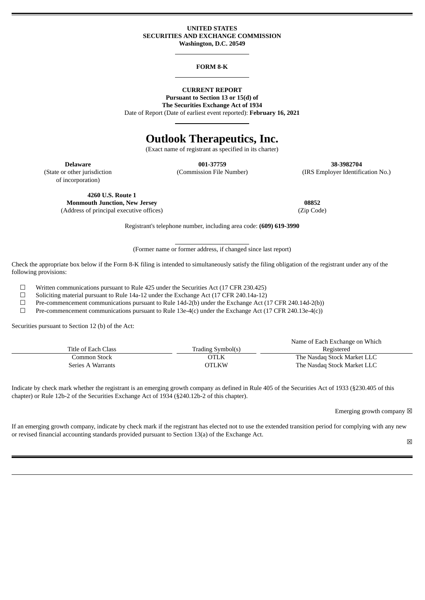#### **UNITED STATES SECURITIES AND EXCHANGE COMMISSION Washington, D.C. 20549**

#### **FORM 8-K**

**CURRENT REPORT**

**Pursuant to Section 13 or 15(d) of**

**The Securities Exchange Act of 1934** Date of Report (Date of earliest event reported): **February 16, 2021**

# **Outlook Therapeutics, Inc.**

(Exact name of registrant as specified in its charter)

(State or other jurisdiction

of incorporation)

**Delaware 001-37759 38-3982704** (Commission File Number) (IRS Employer Identification No.)

**4260 U.S. Route 1 Monmouth Junction, New Jersey 08852** (Address of principal executive offices) (Zip Code)

Registrant's telephone number, including area code: **(609) 619-3990**

(Former name or former address, if changed since last report)

Check the appropriate box below if the Form 8-K filing is intended to simultaneously satisfy the filing obligation of the registrant under any of the following provisions:

 $\Box$  Written communications pursuant to Rule 425 under the Securities Act (17 CFR 230.425)  $\Box$  Soliciting material pursuant to Rule 14a-12 under the Exchange Act (17 CFR 240.14a-12) ☐ Soliciting material pursuant to Rule 14a-12 under the Exchange Act (17 CFR 240.14a-12)

Pre-commencement communications pursuant to Rule 14d-2(b) under the Exchange Act (17 CFR 240.14d-2(b))

☐ Pre-commencement communications pursuant to Rule 13e-4(c) under the Exchange Act (17 CFR 240.13e-4(c))

Securities pursuant to Section 12 (b) of the Act:

|                     |                   | Name of Each Exchange on Which |
|---------------------|-------------------|--------------------------------|
| Title of Each Class | Trading Symbol(s) | Registered                     |
| Common Stock        | OTLK              | The Nasdag Stock Market LLC    |
| Series A Warrants   | OTLKW             | The Nasdaq Stock Market LLC    |

Indicate by check mark whether the registrant is an emerging growth company as defined in Rule 405 of the Securities Act of 1933 (§230.405 of this chapter) or Rule 12b-2 of the Securities Exchange Act of 1934 (§240.12b-2 of this chapter).

Emerging growth company  $\boxtimes$ 

If an emerging growth company, indicate by check mark if the registrant has elected not to use the extended transition period for complying with any new or revised financial accounting standards provided pursuant to Section 13(a) of the Exchange Act.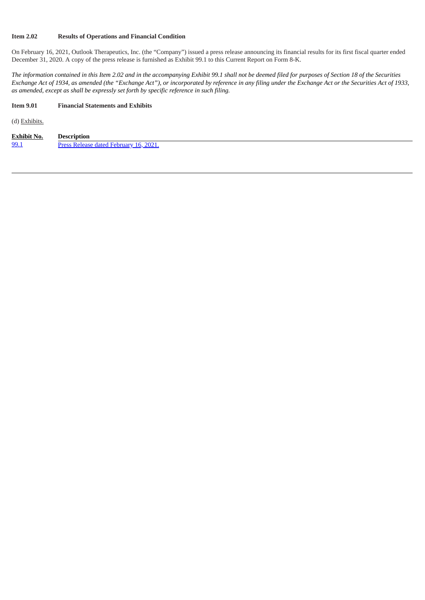### **Item 2.02 Results of Operations and Financial Condition**

On February 16, 2021, Outlook Therapeutics, Inc. (the "Company") issued a press release announcing its financial results for its first fiscal quarter ended December 31, 2020. A copy of the press release is furnished as Exhibit 99.1 to this Current Report on Form 8-K.

The information contained in this Item 2.02 and in the accompanying Exhibit 99.1 shall not be deemed filed for purposes of Section 18 of the Securities Exchange Act of 1934, as amended (the "Exchange Act"), or incorporated by reference in any filing under the Exchange Act or the Securities Act of 1933, *as amended, except as shall be expressly set forth by specific reference in such filing.*

#### **Item 9.01 Financial Statements and Exhibits**

(d) Exhibits.

| Exhibit No. | <b>Description</b>                     |
|-------------|----------------------------------------|
| 99.1        | Press Release dated February 16, 2021. |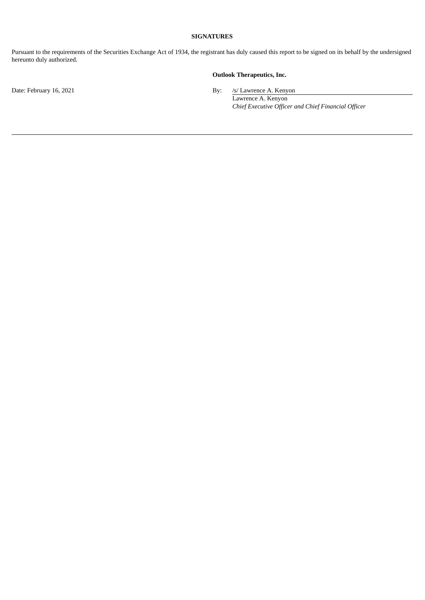## **SIGNATURES**

Pursuant to the requirements of the Securities Exchange Act of 1934, the registrant has duly caused this report to be signed on its behalf by the undersigned hereunto duly authorized.

## **Outlook Therapeutics, Inc.**

Date: February 16, 2021 By: */s/ Lawrence A. Kenyon* 

Lawrence A. Kenyon *Chief Executive Officer and Chief Financial Officer*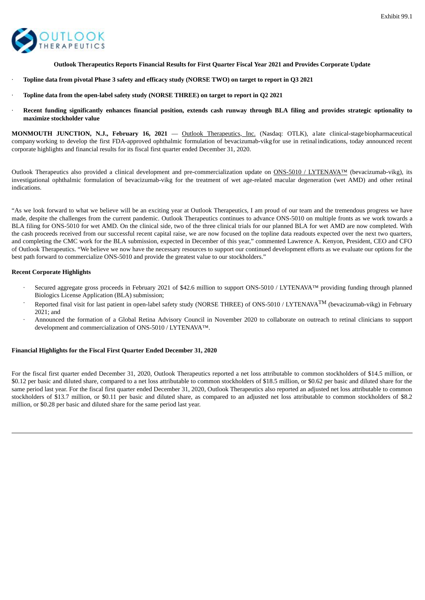<span id="page-3-0"></span>

**Outlook Therapeutics Reports Financial Results for First Quarter Fiscal Year 2021 and Provides Corporate Update**

- Topline data from pivotal Phase 3 safety and efficacy study (NORSE TWO) on target to report in Q3 2021
- · **Topline data from the open-label safety study (NORSE THREE) on target to report in Q2 2021**
- Recent funding significantly enhances financial position, extends cash runway through BLA filing and provides strategic optionality to **maximize stockholder value**

**MONMOUTH JUNCTION, N.J., February 16, 2021** — Outlook Therapeutics, Inc. (Nasdaq: OTLK), a late clinical-stage biopharmaceutical companyworking to develop the first FDA-approved ophthalmic formulation of bevacizumab-vikgfor use in retinalindications, today announced recent corporate highlights and financial results for its fiscal first quarter ended December 31, 2020.

Outlook Therapeutics also provided a clinical development and pre-commercialization update on ONS-5010 / LYTENAVA™ (bevacizumab-vikg), its investigational ophthalmic formulation of bevacizumab-vikg for the treatment of wet age-related macular degeneration (wet AMD) and other retinal indications.

"As we look forward to what we believe will be an exciting year at Outlook Therapeutics, I am proud of our team and the tremendous progress we have made, despite the challenges from the current pandemic. Outlook Therapeutics continues to advance ONS-5010 on multiple fronts as we work towards a BLA filing for ONS-5010 for wet AMD. On the clinical side, two of the three clinical trials for our planned BLA for wet AMD are now completed. With the cash proceeds received from our successful recent capital raise, we are now focused on the topline data readouts expected over the next two quarters, and completing the CMC work for the BLA submission, expected in December of this year," commented Lawrence A. Kenyon, President, CEO and CFO of Outlook Therapeutics. "We believe we now have the necessary resources to support our continued development efforts as we evaluate our options for the best path forward to commercialize ONS-5010 and provide the greatest value to our stockholders."

## **Recent Corporate Highlights**

- · Secured aggregate gross proceeds in February 2021 of \$42.6 million to support ONS-5010 / LYTENAVA™ providing funding through planned Biologics License Application (BLA) submission;
- Reported final visit for last patient in open-label safety study (NORSE THREE) of ONS-5010 / LYTENAVA<sup>TM</sup> (bevacizumab-vikg) in February 2021; and
- · Announced the formation of a Global Retina Advisory Council in November 2020 to collaborate on outreach to retinal clinicians to support development and commercialization of ONS-5010 / LYTENAVA™.

#### **Financial Highlights for the Fiscal First Quarter Ended December 31, 2020**

For the fiscal first quarter ended December 31, 2020, Outlook Therapeutics reported a net loss attributable to common stockholders of \$14.5 million, or \$0.12 per basic and diluted share, compared to a net loss attributable to common stockholders of \$18.5 million, or \$0.62 per basic and diluted share for the same period last year. For the fiscal first quarter ended December 31, 2020, Outlook Therapeutics also reported an adjusted net loss attributable to common stockholders of \$13.7 million, or \$0.11 per basic and diluted share, as compared to an adjusted net loss attributable to common stockholders of \$8.2 million, or \$0.28 per basic and diluted share for the same period last year.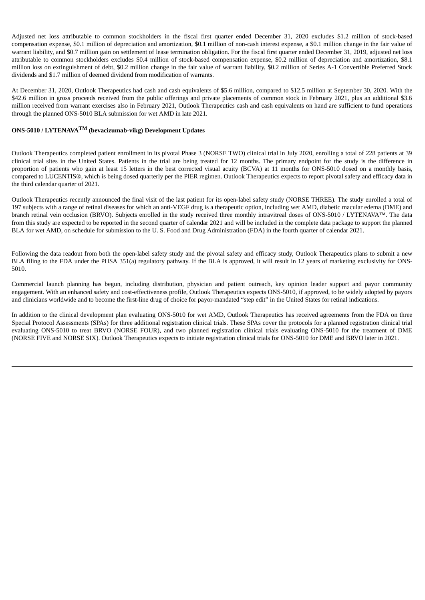Adjusted net loss attributable to common stockholders in the fiscal first quarter ended December 31, 2020 excludes \$1.2 million of stock-based compensation expense, \$0.1 million of depreciation and amortization, \$0.1 million of non-cash interest expense, a \$0.1 million change in the fair value of warrant liability, and \$0.7 million gain on settlement of lease termination obligation. For the fiscal first quarter ended December 31, 2019, adjusted net loss attributable to common stockholders excludes \$0.4 million of stock-based compensation expense, \$0.2 million of depreciation and amortization, \$8.1 million loss on extinguishment of debt, \$0.2 million change in the fair value of warrant liability, \$0.2 million of Series A-1 Convertible Preferred Stock dividends and \$1.7 million of deemed dividend from modification of warrants.

At December 31, 2020, Outlook Therapeutics had cash and cash equivalents of \$5.6 million, compared to \$12.5 million at September 30, 2020. With the \$42.6 million in gross proceeds received from the public offerings and private placements of common stock in February 2021, plus an additional \$3.6 million received from warrant exercises also in February 2021, Outlook Therapeutics cash and cash equivalents on hand are sufficient to fund operations through the planned ONS-5010 BLA submission for wet AMD in late 2021.

## **ONS-5010 / LYTENAVA TM (bevacizumab-vikg) Development Updates**

Outlook Therapeutics completed patient enrollment in its pivotal Phase 3 (NORSE TWO) clinical trial in July 2020, enrolling a total of 228 patients at 39 clinical trial sites in the United States. Patients in the trial are being treated for 12 months. The primary endpoint for the study is the difference in proportion of patients who gain at least 15 letters in the best corrected visual acuity (BCVA) at 11 months for ONS-5010 dosed on a monthly basis, compared to LUCENTIS®, which is being dosed quarterly per the PIER regimen. Outlook Therapeutics expects to report pivotal safety and efficacy data in the third calendar quarter of 2021.

Outlook Therapeutics recently announced the final visit of the last patient for its open-label safety study (NORSE THREE). The study enrolled a total of 197 subjects with a range of retinal diseases for which an anti-VEGF drug is a therapeutic option, including wet AMD, diabetic macular edema (DME) and branch retinal vein occlusion (BRVO). Subjects enrolled in the study received three monthly intravitreal doses of ONS-5010 / LYTENAVA™. The data from this study are expected to be reported in the second quarter of calendar 2021 and will be included in the complete data package to support the planned BLA for wet AMD, on schedule for submission to the U. S. Food and Drug Administration (FDA) in the fourth quarter of calendar 2021.

Following the data readout from both the open-label safety study and the pivotal safety and efficacy study, Outlook Therapeutics plans to submit a new BLA filing to the FDA under the PHSA 351(a) regulatory pathway. If the BLA is approved, it will result in 12 years of marketing exclusivity for ONS-5010.

Commercial launch planning has begun, including distribution, physician and patient outreach, key opinion leader support and payor community engagement. With an enhanced safety and cost-effectiveness profile, Outlook Therapeutics expects ONS-5010, if approved, to be widely adopted by payors and clinicians worldwide and to become the first-line drug of choice for payor-mandated "step edit" in the United States for retinal indications.

In addition to the clinical development plan evaluating ONS-5010 for wet AMD, Outlook Therapeutics has received agreements from the FDA on three Special Protocol Assessments (SPAs) for three additional registration clinical trials. These SPAs cover the protocols for a planned registration clinical trial evaluating ONS-5010 to treat BRVO (NORSE FOUR), and two planned registration clinical trials evaluating ONS-5010 for the treatment of DME (NORSE FIVE and NORSE SIX). Outlook Therapeutics expects to initiate registration clinical trials for ONS-5010 for DME and BRVO later in 2021.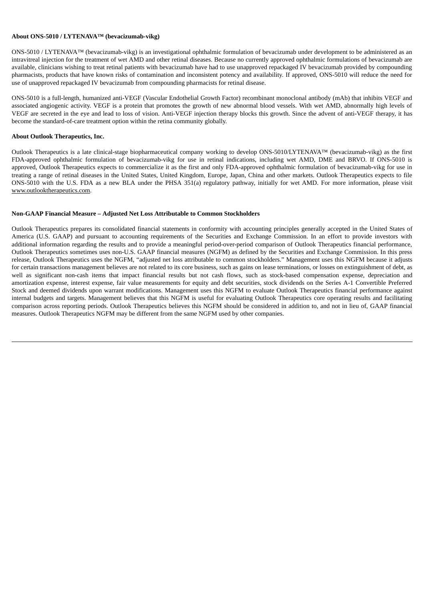#### **About ONS-5010 / LYTENAVA™ (bevacizumab-vikg)**

ONS-5010 / LYTENAVA™ (bevacizumab-vikg) is an investigational ophthalmic formulation of bevacizumab under development to be administered as an intravitreal injection for the treatment of wet AMD and other retinal diseases. Because no currently approved ophthalmic formulations of bevacizumab are available, clinicians wishing to treat retinal patients with bevacizumab have had to use unapproved repackaged IV bevacizumab provided by compounding pharmacists, products that have known risks of contamination and inconsistent potency and availability. If approved, ONS-5010 will reduce the need for use of unapproved repackaged IV bevacizumab from compounding pharmacists for retinal disease.

ONS-5010 is a full-length, humanized anti-VEGF (Vascular Endothelial Growth Factor) recombinant monoclonal antibody (mAb) that inhibits VEGF and associated angiogenic activity. VEGF is a protein that promotes the growth of new abnormal blood vessels. With wet AMD, abnormally high levels of VEGF are secreted in the eye and lead to loss of vision. Anti-VEGF injection therapy blocks this growth. Since the advent of anti-VEGF therapy, it has become the standard-of-care treatment option within the retina community globally.

#### **About Outlook Therapeutics, Inc.**

Outlook Therapeutics is a late clinical-stage biopharmaceutical company working to develop ONS-5010/LYTENAVA™ (bevacizumab-vikg) as the first FDA-approved ophthalmic formulation of bevacizumab-vikg for use in retinal indications, including wet AMD, DME and BRVO. If ONS-5010 is approved, Outlook Therapeutics expects to commercialize it as the first and only FDA-approved ophthalmic formulation of bevacizumab-vikg for use in treating a range of retinal diseases in the United States, United Kingdom, Europe, Japan, China and other markets. Outlook Therapeutics expects to file ONS-5010 with the U.S. FDA as a new BLA under the PHSA 351(a) regulatory pathway, initially for wet AMD. For more information, please visit www.outlooktherapeutics.com.

#### **Non-GAAP Financial Measure – Adjusted Net Loss Attributable to Common Stockholders**

Outlook Therapeutics prepares its consolidated financial statements in conformity with accounting principles generally accepted in the United States of America (U.S. GAAP) and pursuant to accounting requirements of the Securities and Exchange Commission. In an effort to provide investors with additional information regarding the results and to provide a meaningful period-over-period comparison of Outlook Therapeutics financial performance, Outlook Therapeutics sometimes uses non-U.S. GAAP financial measures (NGFM) as defined by the Securities and Exchange Commission. In this press release, Outlook Therapeutics uses the NGFM, "adjusted net loss attributable to common stockholders." Management uses this NGFM because it adjusts for certain transactions management believes are not related to its core business, such as gains on lease terminations, or losses on extinguishment of debt, as well as significant non-cash items that impact financial results but not cash flows, such as stock-based compensation expense, depreciation and amortization expense, interest expense, fair value measurements for equity and debt securities, stock dividends on the Series A-1 Convertible Preferred Stock and deemed dividends upon warrant modifications. Management uses this NGFM to evaluate Outlook Therapeutics financial performance against internal budgets and targets. Management believes that this NGFM is useful for evaluating Outlook Therapeutics core operating results and facilitating comparison across reporting periods. Outlook Therapeutics believes this NGFM should be considered in addition to, and not in lieu of, GAAP financial measures. Outlook Therapeutics NGFM may be different from the same NGFM used by other companies.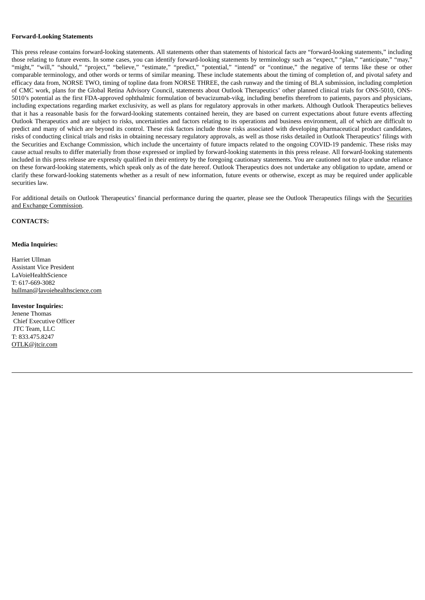#### **Forward-Looking Statements**

This press release contains forward-looking statements. All statements other than statements of historical facts are "forward-looking statements," including those relating to future events. In some cases, you can identify forward-looking statements by terminology such as "expect," "plan," "anticipate," "may," "might," "will," "should," "project," "believe," "estimate," "predict," "potential," "intend" or "continue," the negative of terms like these or other comparable terminology, and other words or terms of similar meaning. These include statements about the timing of completion of, and pivotal safety and efficacy data from, NORSE TWO, timing of topline data from NORSE THREE, the cash runway and the timing of BLA submission, including completion of CMC work, plans for the Global Retina Advisory Council, statements about Outlook Therapeutics' other planned clinical trials for ONS-5010, ONS-5010's potential as the first FDA-approved ophthalmic formulation of bevacizumab-vikg, including benefits therefrom to patients, payors and physicians, including expectations regarding market exclusivity, as well as plans for regulatory approvals in other markets. Although Outlook Therapeutics believes that it has a reasonable basis for the forward-looking statements contained herein, they are based on current expectations about future events affecting Outlook Therapeutics and are subject to risks, uncertainties and factors relating to its operations and business environment, all of which are difficult to predict and many of which are beyond its control. These risk factors include those risks associated with developing pharmaceutical product candidates, risks of conducting clinical trials and risks in obtaining necessary regulatory approvals, as well as those risks detailed in Outlook Therapeutics' filings with the Securities and Exchange Commission, which include the uncertainty of future impacts related to the ongoing COVID-19 pandemic. These risks may cause actual results to differ materially from those expressed or implied by forward-looking statements in this press release. All forward-looking statements included in this press release are expressly qualified in their entirety by the foregoing cautionary statements. You are cautioned not to place undue reliance on these forward-looking statements, which speak only as of the date hereof. Outlook Therapeutics does not undertake any obligation to update, amend or clarify these forward-looking statements whether as a result of new information, future events or otherwise, except as may be required under applicable securities law.

For additional details on Outlook Therapeutics' financial performance during the quarter, please see the Outlook Therapeutics filings with the Securities and Exchange Commission.

#### **CONTACTS:**

#### **Media Inquiries:**

Harriet Ullman Assistant Vice President LaVoieHealthScience T: 617-669-3082 hullman@lavoiehealthscience.com

#### **Investor Inquiries:**

Jenene Thomas Chief Executive Officer JTC Team, LLC T: 833.475.8247 OTLK@jtcir.com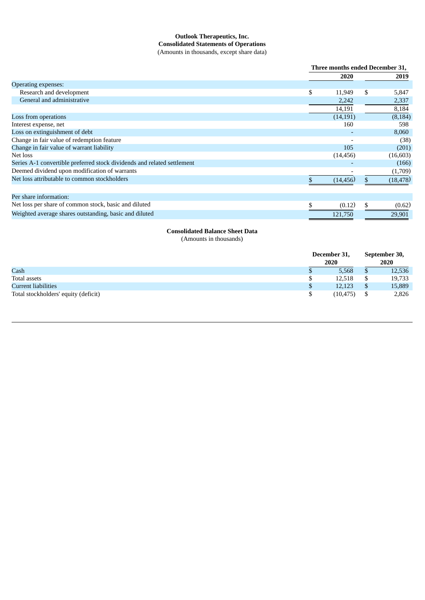## **Outlook Therapeutics, Inc. Consolidated Statements of Operations** (Amounts in thousands, except share data)

|                                                                         |              | Three months ended December 31, |           |  |
|-------------------------------------------------------------------------|--------------|---------------------------------|-----------|--|
|                                                                         | 2020         |                                 | 2019      |  |
| <b>Operating expenses:</b>                                              |              |                                 |           |  |
| Research and development                                                | \$<br>11,949 | \$                              | 5,847     |  |
| General and administrative                                              | 2,242        |                                 | 2,337     |  |
|                                                                         | 14,191       |                                 | 8,184     |  |
| Loss from operations                                                    | (14, 191)    |                                 | (8, 184)  |  |
| Interest expense, net                                                   | 160          |                                 | 598       |  |
| Loss on extinguishment of debt                                          |              |                                 | 8,060     |  |
| Change in fair value of redemption feature                              |              |                                 | (38)      |  |
| Change in fair value of warrant liability                               | 105          |                                 | (201)     |  |
| Net loss                                                                | (14, 456)    |                                 | (16, 603) |  |
| Series A-1 convertible preferred stock dividends and related settlement |              |                                 | (166)     |  |
| Deemed dividend upon modification of warrants                           |              |                                 | (1,709)   |  |
| Net loss attributable to common stockholders                            | (14, 456)    |                                 | (18, 478) |  |
| Per share information:                                                  |              |                                 |           |  |
| Net loss per share of common stock, basic and diluted                   | (0.12)       |                                 | (0.62)    |  |
| Weighted average shares outstanding, basic and diluted                  | 121,750      |                                 | 29,901    |  |

## **Consolidated Balance Sheet Data**

(Amounts in thousands)

|                                      |    | December 31, |    | September 30, |  |
|--------------------------------------|----|--------------|----|---------------|--|
|                                      |    | 2020         |    | 2020          |  |
| Cash                                 | Φ  | 5,568        | -S | 12,536        |  |
| Total assets                         | \$ | 12.518       |    | 19,733        |  |
| Current liabilities                  | \$ | 12,123       |    | 15,889        |  |
| Total stockholders' equity (deficit) |    | (10, 475)    |    | 2,826         |  |